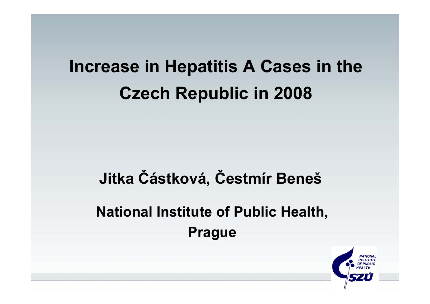## **Increase in Hepatitis A Cases in the Czech Republic in 2008**

# **Jitka Částková, Čestmír Beneš National Institute of Public Health, Prague**

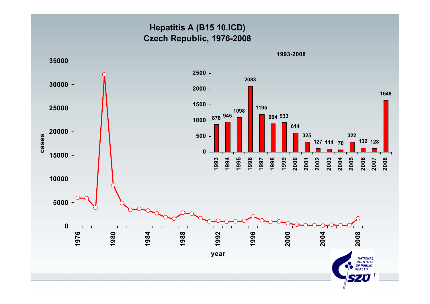### **Hepatitis A (B15 10.ICD) Czech Republic, 1976-2008**

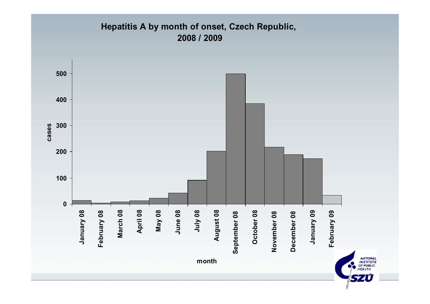## **Hepatitis A by month of onset, Czech Republic, 2008 / 2009**

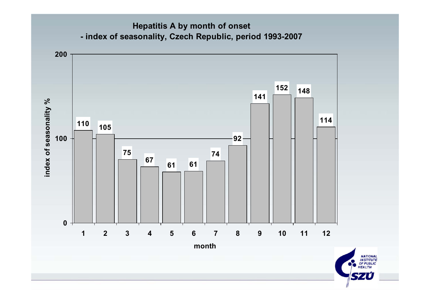#### **Hepatitis A by month of onset - index of seasonality, Czech Republic, period 1993-2007**



**NATIONAL<br>INSTITUTE<br>OF PUBLIC<br>HEALTH**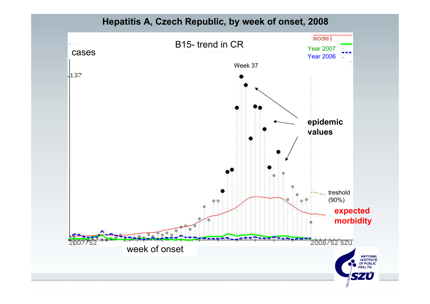**Hepatitis A, Czech Republic, by week of onset, 2008**

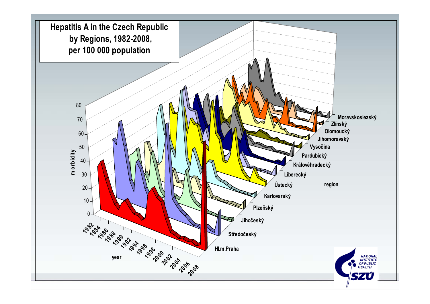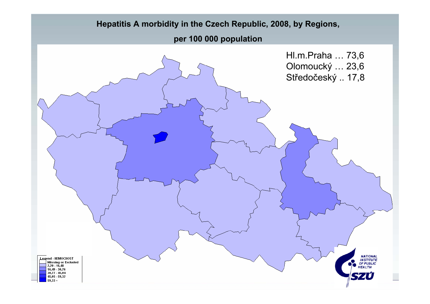#### **Hepatitis A morbidity in the Czech Republic, 2008, by Regions,**

#### **per 100 000 population**

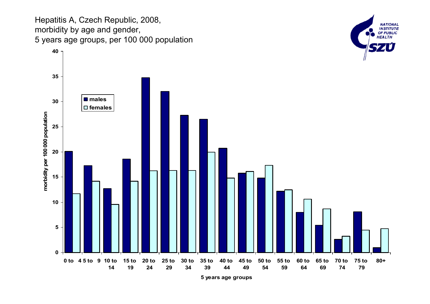Hepatitis A, Czech Republic, 2008, morbidity by age and gender, 5 years age groups, per 100 000 population



**NATIONAL INSTITUTE OF PUBLIC HEALTH** 

**5 years age groups**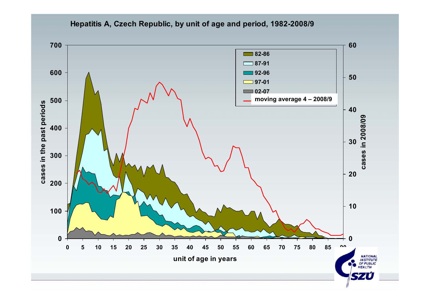

**Hepatitis A, Czech Republic, by unit of age and period, 1982-2008/9**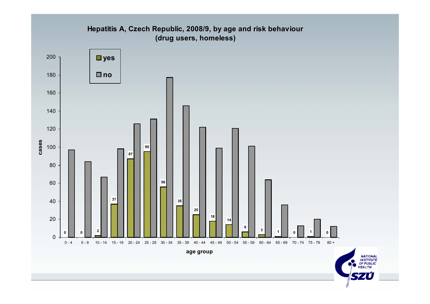#### **Hepatitis A, Czech Republic, 2008/9, by age and risk behaviour (drug users, homeless)**

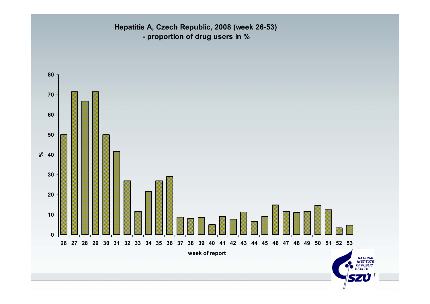**Hepatitis A, Czech Republic, 2008 (week 26-53) - proportion of drug users in %**

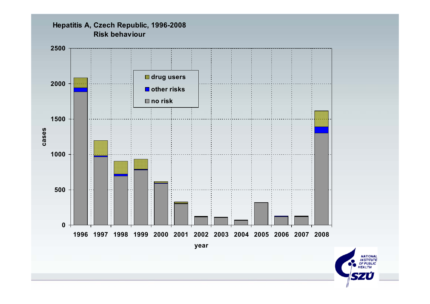

**Hepatitis A, Czech Republic, 1996-2008 Risk behaviour**